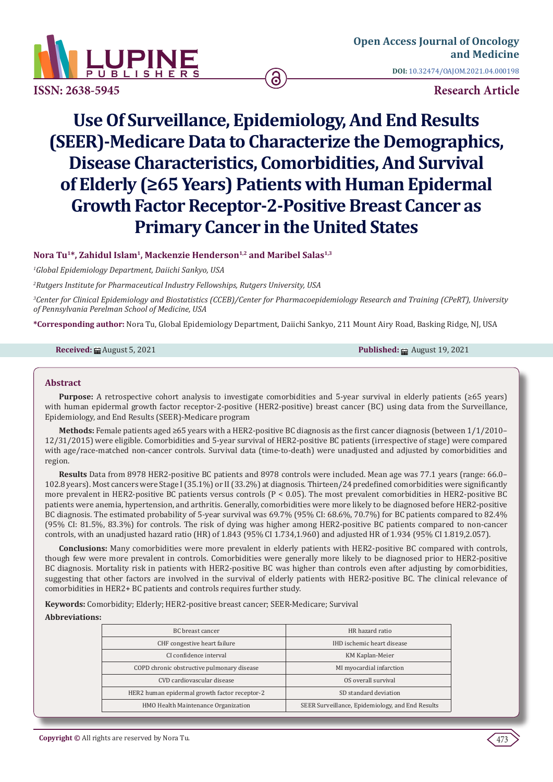

# **Use Of Surveillance, Epidemiology, And End Results (SEER)-Medicare Data to Characterize the Demographics, Disease Characteristics, Comorbidities, And Survival of Elderly (≥65 Years) Patients with Human Epidermal Growth Factor Receptor-2-Positive Breast Cancer as Primary Cancer in the United States**

# **Nora Tu1\*, Zahidul Islam1, Mackenzie Henderson1,2 and Maribel Salas1,3**

*1 Global Epidemiology Department, Daiichi Sankyo, USA*

*2 Rutgers Institute for Pharmaceutical Industry Fellowships, Rutgers University, USA* 

*3 Center for Clinical Epidemiology and Biostatistics (CCEB)/Center for Pharmacoepidemiology Research and Training (CPeRT), University of Pennsylvania Perelman School of Medicine, USA*

**\*Corresponding author:** Nora Tu, Global Epidemiology Department, Daiichi Sankyo, 211 Mount Airy Road, Basking Ridge, NJ, USA

**Received:** ■ August 5, 2021 **Published:** ■ August 19, 2021

## **Abstract**

**Purpose:** A retrospective cohort analysis to investigate comorbidities and 5-year survival in elderly patients (≥65 years) with human epidermal growth factor receptor-2-positive (HER2-positive) breast cancer (BC) using data from the Surveillance, Epidemiology, and End Results (SEER)-Medicare program

**Methods:** Female patients aged ≥65 years with a HER2-positive BC diagnosis as the first cancer diagnosis (between 1/1/2010– 12/31/2015) were eligible. Comorbidities and 5-year survival of HER2-positive BC patients (irrespective of stage) were compared with age/race-matched non-cancer controls. Survival data (time-to-death) were unadjusted and adjusted by comorbidities and region.

**Results** Data from 8978 HER2-positive BC patients and 8978 controls were included. Mean age was 77.1 years (range: 66.0– 102.8 years). Most cancers were Stage I (35.1%) or II (33.2%) at diagnosis. Thirteen/24 predefined comorbidities were significantly more prevalent in HER2-positive BC patients versus controls (P < 0.05). The most prevalent comorbidities in HER2-positive BC patients were anemia, hypertension, and arthritis. Generally, comorbidities were more likely to be diagnosed before HER2-positive BC diagnosis. The estimated probability of 5-year survival was 69.7% (95% CI: 68.6%, 70.7%) for BC patients compared to 82.4% (95% CI: 81.5%, 83.3%) for controls. The risk of dying was higher among HER2-positive BC patients compared to non-cancer controls, with an unadjusted hazard ratio (HR) of 1.843 (95% CI 1.734,1.960) and adjusted HR of 1.934 (95% CI 1.819,2.057).

**Conclusions:** Many comorbidities were more prevalent in elderly patients with HER2-positive BC compared with controls, though few were more prevalent in controls. Comorbidities were generally more likely to be diagnosed prior to HER2-positive BC diagnosis. Mortality risk in patients with HER2-positive BC was higher than controls even after adjusting by comorbidities, suggesting that other factors are involved in the survival of elderly patients with HER2-positive BC. The clinical relevance of comorbidities in HER2+ BC patients and controls requires further study.

**Keywords:** Comorbidity; Elderly; HER2-positive breast cancer; SEER-Medicare; Survival

#### **Abbreviations:**

| BC breast cancer                              | HR hazard ratio                                  |  |
|-----------------------------------------------|--------------------------------------------------|--|
| CHF congestive heart failure                  | IHD ischemic heart disease                       |  |
| CI confidence interval                        | KM Kaplan-Meier                                  |  |
| COPD chronic obstructive pulmonary disease    | MI myocardial infarction                         |  |
| CVD cardiovascular disease                    | OS overall survival                              |  |
| HER2 human epidermal growth factor receptor-2 | SD standard deviation                            |  |
| HMO Health Maintenance Organization           | SEER Surveillance, Epidemiology, and End Results |  |
|                                               |                                                  |  |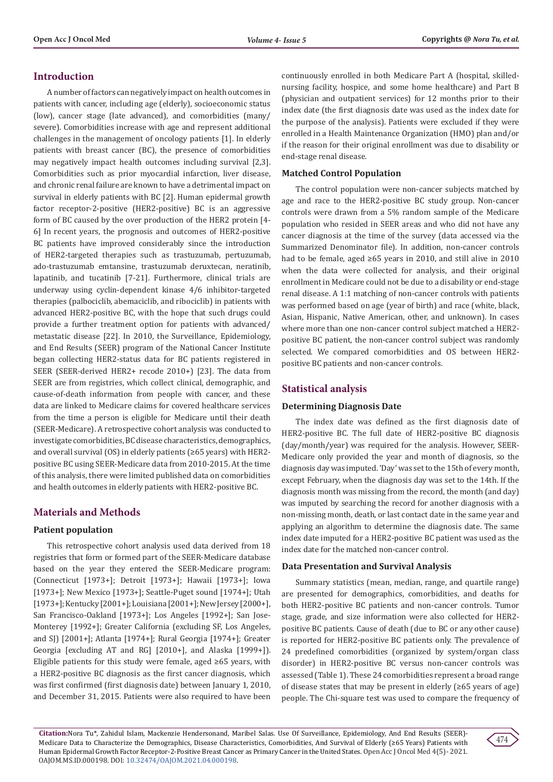# **Introduction**

A number of factors can negatively impact on health outcomes in patients with cancer, including age (elderly), socioeconomic status (low), cancer stage (late advanced), and comorbidities (many/ severe). Comorbidities increase with age and represent additional challenges in the management of oncology patients [1]. In elderly patients with breast cancer (BC), the presence of comorbidities may negatively impact health outcomes including survival [2,3]. Comorbidities such as prior myocardial infarction, liver disease, and chronic renal failure are known to have a detrimental impact on survival in elderly patients with BC [2]. Human epidermal growth factor receptor-2-positive (HER2-positive) BC is an aggressive form of BC caused by the over production of the HER2 protein [4- 6] In recent years, the prognosis and outcomes of HER2-positive BC patients have improved considerably since the introduction of HER2-targeted therapies such as trastuzumab, pertuzumab, ado-trastuzumab emtansine, trastuzumab deruxtecan, neratinib, lapatinib, and tucatinib [7-21]. Furthermore, clinical trials are underway using cyclin-dependent kinase 4/6 inhibitor-targeted therapies (palbociclib, abemaciclib, and ribociclib) in patients with advanced HER2-positive BC, with the hope that such drugs could provide a further treatment option for patients with advanced/ metastatic disease [22]. In 2010, the Surveillance, Epidemiology, and End Results (SEER) program of the National Cancer Institute began collecting HER2-status data for BC patients registered in SEER (SEER-derived HER2+ recode 2010+) [23]. The data from SEER are from registries, which collect clinical, demographic, and cause-of-death information from people with cancer, and these data are linked to Medicare claims for covered healthcare services from the time a person is eligible for Medicare until their death (SEER-Medicare). A retrospective cohort analysis was conducted to investigate comorbidities, BC disease characteristics, demographics, and overall survival (OS) in elderly patients (≥65 years) with HER2 positive BC using SEER-Medicare data from 2010-2015. At the time of this analysis, there were limited published data on comorbidities and health outcomes in elderly patients with HER2-positive BC.

# **Materials and Methods**

#### **Patient population**

This retrospective cohort analysis used data derived from 18 registries that form or formed part of the SEER-Medicare database based on the year they entered the SEER-Medicare program: (Connecticut [1973+]; Detroit [1973+]; Hawaii [1973+]; Iowa [1973+]; New Mexico [1973+]; Seattle-Puget sound [1974+]; Utah [1973+]; Kentucky [2001+]; Louisiana [2001+]; New Jersey [2000+], San Francisco-Oakland [1973+]; Los Angeles [1992+]; San Jose-Monterey [1992+]; Greater California (excluding SF, Los Angeles, and SJ) [2001+]; Atlanta [1974+]; Rural Georgia [1974+]; Greater Georgia [excluding AT and RG] [2010+], and Alaska [1999+]). Eligible patients for this study were female, aged  $\geq 65$  years, with a HER2-positive BC diagnosis as the first cancer diagnosis, which was first confirmed (first diagnosis date) between January 1, 2010, and December 31, 2015. Patients were also required to have been

continuously enrolled in both Medicare Part A (hospital, skillednursing facility, hospice, and some home healthcare) and Part B (physician and outpatient services) for 12 months prior to their index date (the first diagnosis date was used as the index date for the purpose of the analysis). Patients were excluded if they were enrolled in a Health Maintenance Organization (HMO) plan and/or if the reason for their original enrollment was due to disability or end-stage renal disease.

## **Matched Control Population**

The control population were non-cancer subjects matched by age and race to the HER2-positive BC study group. Non-cancer controls were drawn from a 5% random sample of the Medicare population who resided in SEER areas and who did not have any cancer diagnosis at the time of the survey (data accessed via the Summarized Denominator file). In addition, non-cancer controls had to be female, aged ≥65 years in 2010, and still alive in 2010 when the data were collected for analysis, and their original enrollment in Medicare could not be due to a disability or end-stage renal disease. A 1:1 matching of non-cancer controls with patients was performed based on age (year of birth) and race (white, black, Asian, Hispanic, Native American, other, and unknown). In cases where more than one non-cancer control subject matched a HER2 positive BC patient, the non-cancer control subject was randomly selected. We compared comorbidities and OS between HER2 positive BC patients and non-cancer controls.

## **Statistical analysis**

#### **Determining Diagnosis Date**

The index date was defined as the first diagnosis date of HER2-positive BC. The full date of HER2-positive BC diagnosis (day/month/year) was required for the analysis. However, SEER-Medicare only provided the year and month of diagnosis, so the diagnosis day was imputed. 'Day' was set to the 15th of every month, except February, when the diagnosis day was set to the 14th. If the diagnosis month was missing from the record, the month (and day) was imputed by searching the record for another diagnosis with a non-missing month, death, or last contact date in the same year and applying an algorithm to determine the diagnosis date. The same index date imputed for a HER2-positive BC patient was used as the index date for the matched non-cancer control.

#### **Data Presentation and Survival Analysis**

Summary statistics (mean, median, range, and quartile range) are presented for demographics, comorbidities, and deaths for both HER2-positive BC patients and non-cancer controls. Tumor stage, grade, and size information were also collected for HER2 positive BC patients. Cause of death (due to BC or any other cause) is reported for HER2-positive BC patients only. The prevalence of 24 predefined comorbidities (organized by system/organ class disorder) in HER2-positive BC versus non-cancer controls was assessed (Table 1). These 24 comorbidities represent a broad range of disease states that may be present in elderly (≥65 years of age) people. The Chi-square test was used to compare the frequency of

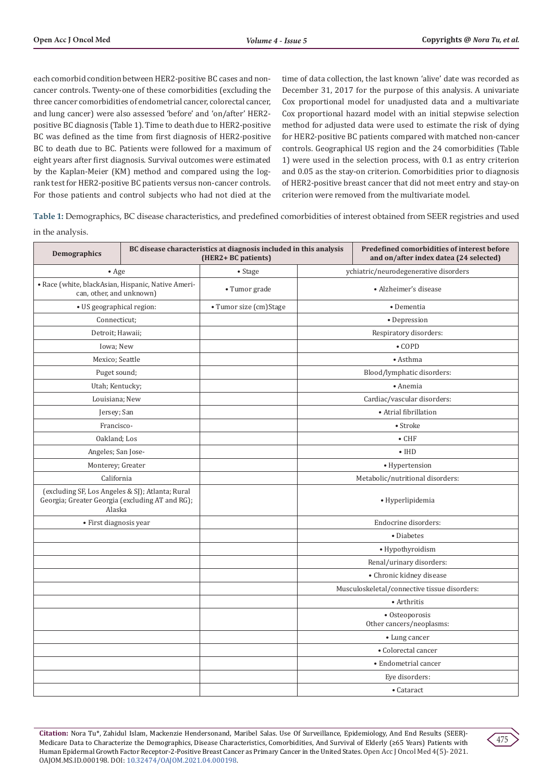each comorbid condition between HER2-positive BC cases and noncancer controls. Twenty-one of these comorbidities (excluding the three cancer comorbidities of endometrial cancer, colorectal cancer, and lung cancer) were also assessed 'before' and 'on/after' HER2 positive BC diagnosis (Table 1). Time to death due to HER2-positive BC was defined as the time from first diagnosis of HER2-positive BC to death due to BC. Patients were followed for a maximum of eight years after first diagnosis. Survival outcomes were estimated by the Kaplan-Meier (KM) method and compared using the logrank test for HER2-positive BC patients versus non-cancer controls. For those patients and control subjects who had not died at the time of data collection, the last known 'alive' date was recorded as December 31, 2017 for the purpose of this analysis. A univariate Cox proportional model for unadjusted data and a multivariate Cox proportional hazard model with an initial stepwise selection method for adjusted data were used to estimate the risk of dying for HER2-positive BC patients compared with matched non-cancer controls. Geographical US region and the 24 comorbidities (Table 1) were used in the selection process, with 0.1 as entry criterion and 0.05 as the stay-on criterion. Comorbidities prior to diagnosis of HER2-positive breast cancer that did not meet entry and stay-on criterion were removed from the multivariate model.

**Table 1:** Demographics, BC disease characteristics, and predefined comorbidities of interest obtained from SEER registries and used in the analysis.

| <b>Demographics</b>                                                                                           | BC disease characteristics at diagnosis included in this analysis<br>(HER2+ BC patients) |                                            | Predefined comorbidities of interest before<br>and on/after index datea (24 selected) |
|---------------------------------------------------------------------------------------------------------------|------------------------------------------------------------------------------------------|--------------------------------------------|---------------------------------------------------------------------------------------|
| $\bullet$ Age                                                                                                 | • Stage                                                                                  | ychiatric/neurodegenerative disorders      |                                                                                       |
| · Race (white, blackAsian, Hispanic, Native Ameri-<br>can, other, and unknown)                                | • Tumor grade                                                                            | · Alzheimer's disease                      |                                                                                       |
| · US geographical region:                                                                                     | · Tumor size (cm)Stage                                                                   |                                            | · Dementia                                                                            |
| Connecticut;                                                                                                  |                                                                                          |                                            | · Depression                                                                          |
| Detroit; Hawaii;                                                                                              |                                                                                          |                                            | Respiratory disorders:                                                                |
| Iowa; New                                                                                                     |                                                                                          |                                            | $\bullet$ COPD                                                                        |
| Mexico; Seattle                                                                                               |                                                                                          |                                            | • Asthma                                                                              |
| Puget sound;                                                                                                  |                                                                                          |                                            | Blood/lymphatic disorders:                                                            |
| Utah; Kentucky;                                                                                               |                                                                                          |                                            | • Anemia                                                                              |
| Louisiana; New                                                                                                |                                                                                          |                                            | Cardiac/vascular disorders:                                                           |
| Jersey; San                                                                                                   |                                                                                          |                                            | • Atrial fibrillation                                                                 |
| Francisco-                                                                                                    |                                                                                          |                                            | $\bullet$ Stroke                                                                      |
| Oakland; Los                                                                                                  |                                                                                          |                                            | $\bullet$ CHF                                                                         |
| Angeles; San Jose-                                                                                            |                                                                                          | $\bullet$ IHD                              |                                                                                       |
| Monterey; Greater                                                                                             |                                                                                          | • Hypertension                             |                                                                                       |
| California                                                                                                    |                                                                                          | Metabolic/nutritional disorders:           |                                                                                       |
| (excluding SF, Los Angeles & SJ); Atlanta; Rural<br>Georgia; Greater Georgia (excluding AT and RG);<br>Alaska |                                                                                          | • Hyperlipidemia                           |                                                                                       |
| · First diagnosis year                                                                                        |                                                                                          | Endocrine disorders:                       |                                                                                       |
|                                                                                                               |                                                                                          |                                            | • Diabetes                                                                            |
|                                                                                                               |                                                                                          |                                            | · Hypothyroidism                                                                      |
|                                                                                                               |                                                                                          |                                            | Renal/urinary disorders:                                                              |
|                                                                                                               |                                                                                          |                                            | • Chronic kidney disease                                                              |
|                                                                                                               |                                                                                          |                                            | Musculoskeletal/connective tissue disorders:                                          |
|                                                                                                               |                                                                                          | • Arthritis                                |                                                                                       |
|                                                                                                               |                                                                                          | · Osteoporosis<br>Other cancers/neoplasms: |                                                                                       |
|                                                                                                               |                                                                                          | • Lung cancer                              |                                                                                       |
|                                                                                                               |                                                                                          |                                            | • Colorectal cancer                                                                   |
|                                                                                                               |                                                                                          |                                            | • Endometrial cancer                                                                  |
|                                                                                                               |                                                                                          |                                            | Eye disorders:                                                                        |
|                                                                                                               |                                                                                          |                                            | • Cataract                                                                            |

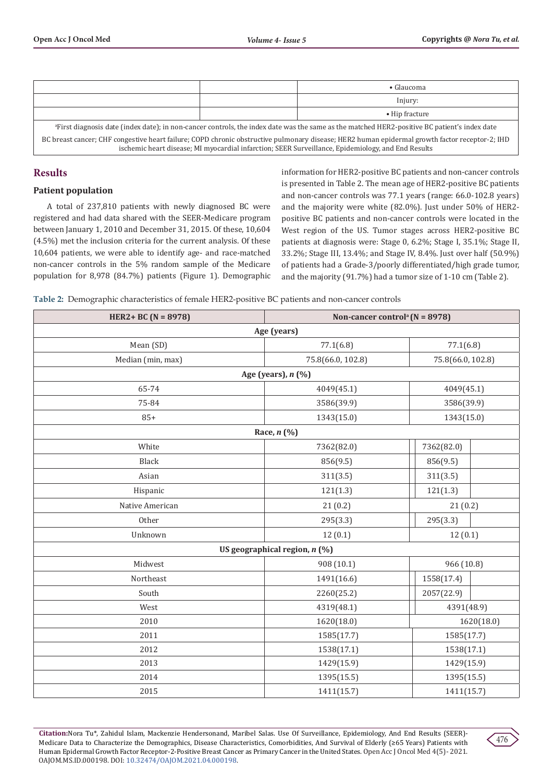|                                                                                                                                                          |  | $\bullet$ Glaucoma     |  |  |
|----------------------------------------------------------------------------------------------------------------------------------------------------------|--|------------------------|--|--|
|                                                                                                                                                          |  | Injury:                |  |  |
|                                                                                                                                                          |  | $\bullet$ Hip fracture |  |  |
| <sup>a</sup> First diagnosis date (index date); in non-cancer controls, the index date was the same as the matched HER2-positive BC patient's index date |  |                        |  |  |
| BC breast cancer; CHF congestive heart failure; COPD chronic obstructive pulmonary disease; HER2 human epidermal growth factor receptor-2; IHD           |  |                        |  |  |

ischemic heart disease; MI myocardial infarction; SEER Surveillance, Epidemiology, and End Results

# **Results**

## **Patient population**

A total of 237,810 patients with newly diagnosed BC were registered and had data shared with the SEER-Medicare program between January 1, 2010 and December 31, 2015. Of these, 10,604 (4.5%) met the inclusion criteria for the current analysis. Of these 10,604 patients, we were able to identify age- and race-matched non-cancer controls in the 5% random sample of the Medicare population for 8,978 (84.7%) patients (Figure 1). Demographic

information for HER2-positive BC patients and non-cancer controls is presented in Table 2. The mean age of HER2-positive BC patients and non-cancer controls was 77.1 years (range: 66.0-102.8 years) and the majority were white (82.0%). Just under 50% of HER2 positive BC patients and non-cancer controls were located in the West region of the US. Tumor stages across HER2-positive BC patients at diagnosis were: Stage 0, 6.2%; Stage I, 35.1%; Stage II, 33.2%; Stage III, 13.4%; and Stage IV, 8.4%. Just over half (50.9%) of patients had a Grade-3/poorly differentiated/high grade tumor, and the majority (91.7%) had a tumor size of 1-10 cm (Table 2).

|  | Table 2: Demographic characteristics of female HER2-positive BC patients and non-cancer controls |  |  |
|--|--------------------------------------------------------------------------------------------------|--|--|
|  |                                                                                                  |  |  |
|  |                                                                                                  |  |  |
|  |                                                                                                  |  |  |

| HER2+ BC ( $N = 8978$ ) | Non-cancer control <sup>a</sup> ( $N = 8978$ ) |                   |            |  |  |
|-------------------------|------------------------------------------------|-------------------|------------|--|--|
| Age (years)             |                                                |                   |            |  |  |
| Mean (SD)               | 77.1(6.8)                                      | 77.1(6.8)         |            |  |  |
| Median (min, max)       | 75.8(66.0, 102.8)                              | 75.8(66.0, 102.8) |            |  |  |
|                         | Age (years), n (%)                             |                   |            |  |  |
| 65-74                   | 4049(45.1)                                     | 4049(45.1)        |            |  |  |
| 75-84                   | 3586(39.9)                                     | 3586(39.9)        |            |  |  |
| $85+$                   | 1343(15.0)                                     | 1343(15.0)        |            |  |  |
|                         | Race, $n$ (%)                                  |                   |            |  |  |
| White                   | 7362(82.0)                                     | 7362(82.0)        |            |  |  |
| Black                   | 856(9.5)                                       | 856(9.5)          |            |  |  |
| Asian                   | 311(3.5)                                       | 311(3.5)          |            |  |  |
| Hispanic                | 121(1.3)                                       | 121(1.3)          |            |  |  |
| Native American         | 21(0.2)<br>21(0.2)                             |                   |            |  |  |
| Other                   | 295(3.3)                                       | 295(3.3)          |            |  |  |
| Unknown                 | 12(0.1)                                        | 12(0.1)           |            |  |  |
|                         | US geographical region, $n$ (%)                |                   |            |  |  |
| Midwest                 | 908 (10.1)                                     | 966 (10.8)        |            |  |  |
| Northeast               | 1491(16.6)                                     | 1558(17.4)        |            |  |  |
| South                   | 2260(25.2)                                     | 2057(22.9)        |            |  |  |
| West                    | 4319(48.1)                                     | 4391(48.9)        |            |  |  |
| 2010                    | 1620(18.0)                                     |                   | 1620(18.0) |  |  |
| 2011                    | 1585(17.7)                                     | 1585(17.7)        |            |  |  |
| 2012                    | 1538(17.1)                                     | 1538(17.1)        |            |  |  |
| 2013                    | 1429(15.9)                                     | 1429(15.9)        |            |  |  |
| 2014                    | 1395(15.5)                                     | 1395(15.5)        |            |  |  |
| 2015                    | 1411(15.7)                                     | 1411(15.7)        |            |  |  |

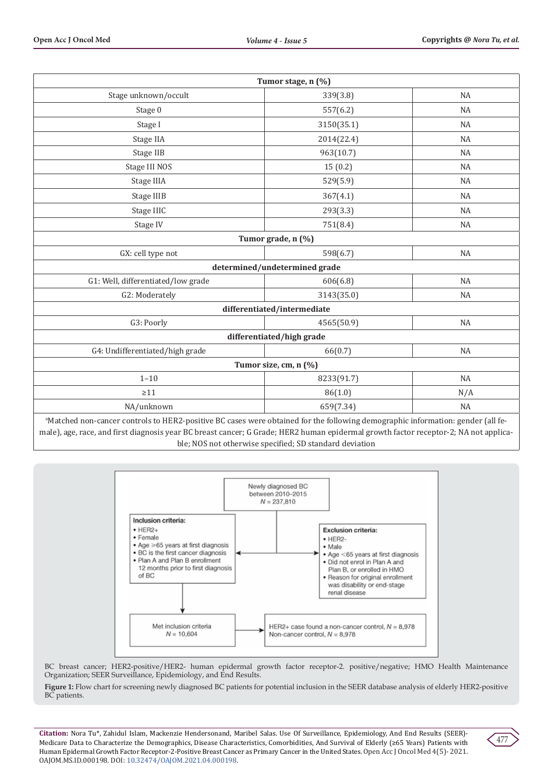| Tumor stage, n (%)                                                                                                                          |                             |           |  |  |
|---------------------------------------------------------------------------------------------------------------------------------------------|-----------------------------|-----------|--|--|
| Stage unknown/occult                                                                                                                        | 339(3.8)                    | <b>NA</b> |  |  |
| Stage 0                                                                                                                                     | 557(6.2)                    | <b>NA</b> |  |  |
| Stage I                                                                                                                                     | 3150(35.1)                  | <b>NA</b> |  |  |
| Stage IIA                                                                                                                                   | 2014(22.4)                  | <b>NA</b> |  |  |
| Stage IIB                                                                                                                                   | 963(10.7)                   | <b>NA</b> |  |  |
| Stage III NOS                                                                                                                               | 15(0.2)                     | <b>NA</b> |  |  |
| Stage IIIA                                                                                                                                  | 529(5.9)                    | <b>NA</b> |  |  |
| Stage IIIB                                                                                                                                  | 367(4.1)                    | <b>NA</b> |  |  |
| Stage IIIC                                                                                                                                  | 293(3.3)                    | <b>NA</b> |  |  |
| Stage IV                                                                                                                                    | 751(8.4)                    | NA        |  |  |
| Tumor grade, n (%)                                                                                                                          |                             |           |  |  |
| GX: cell type not                                                                                                                           | 598(6.7)                    | <b>NA</b> |  |  |
| determined/undetermined grade                                                                                                               |                             |           |  |  |
| G1: Well, differentiated/low grade                                                                                                          | 606(6.8)                    | <b>NA</b> |  |  |
| G2: Moderately                                                                                                                              | 3143(35.0)                  | <b>NA</b> |  |  |
|                                                                                                                                             | differentiated/intermediate |           |  |  |
| G3: Poorly                                                                                                                                  | 4565(50.9)                  | <b>NA</b> |  |  |
|                                                                                                                                             | differentiated/high grade   |           |  |  |
| G4: Undifferentiated/high grade                                                                                                             | 66(0.7)                     | <b>NA</b> |  |  |
| Tumor size, cm, n (%)                                                                                                                       |                             |           |  |  |
| $1 - 10$                                                                                                                                    | 8233(91.7)                  | NA        |  |  |
| $\geq$ 11                                                                                                                                   | 86(1.0)                     | N/A       |  |  |
| NA/unknown                                                                                                                                  | 659(7.34)                   | <b>NA</b> |  |  |
| <sup>a</sup> Matched non-cancer controls to HER2-positive BC cases were obtained for the following demographic information: gender (all fe- |                             |           |  |  |

male), age, race, and first diagnosis year BC breast cancer; G Grade; HER2 human epidermal growth factor receptor-2; NA not applicable; NOS not otherwise specified; SD standard deviation



BC breast cancer; HER2-positive/HER2- human epidermal growth factor receptor-2. positive/negative; HMO Health Maintenance Organization; SEER Surveillance, Epidemiology, and End Results.

**Figure 1:** Flow chart for screening newly diagnosed BC patients for potential inclusion in the SEER database analysis of elderly HER2-positive BC patients.

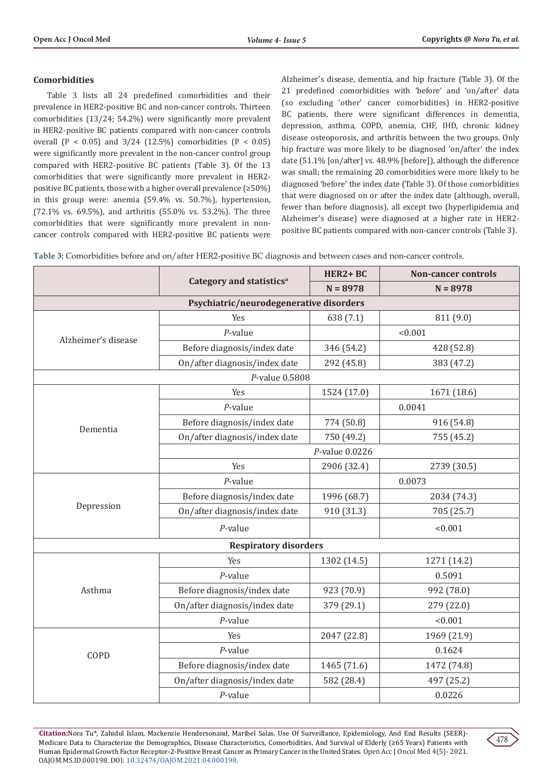## **Comorbidities**

Table 3 lists all 24 predefined comorbidities and their prevalence in HER2-positive BC and non-cancer controls. Thirteen comorbidities (13/24; 54.2%) were significantly more prevalent in HER2-positive BC patients compared with non-cancer controls overall (P < 0.05) and  $3/24$  (12.5%) comorbidities (P < 0.05) were significantly more prevalent in the non-cancer control group compared with HER2-positive BC patients (Table 3). Of the 13 comorbidities that were significantly more prevalent in HER2 positive BC patients, those with a higher overall prevalence (≥50%) in this group were: anemia (59.4% vs. 50.7%), hypertension, (72.1% vs. 69.5%), and arthritis (55.0% vs. 53.2%). The three comorbidities that were significantly more prevalent in noncancer controls compared with HER2-positive BC patients were

Alzheimer's disease, dementia, and hip fracture (Table 3). Of the 21 predefined comorbidities with 'before' and 'on/after' data (so excluding 'other' cancer comorbidities) in HER2-positive BC patients, there were significant differences in dementia, depression, asthma, COPD, anemia, CHF, IHD, chronic kidney disease osteoporosis, and arthritis between the two groups. Only hip fracture was more likely to be diagnosed 'on/after' the index date (51.1% [on/after] vs. 48.9% [before]), although the difference was small; the remaining 20 comorbidities were more likely to be diagnosed 'before' the index date (Table 3). Of those comorbidities that were diagnosed on or after the index date (although, overall, fewer than before diagnosis), all except two (hyperlipidemia and Alzheimer's disease) were diagnosed at a higher rate in HER2 positive BC patients compared with non-cancer controls (Table 3).

**Table 3:** Comorbidities before and on/after HER2-positive BC diagnosis and between cases and non-cancer controls.

|                              |                                         | HER2+BC     | <b>Non-cancer controls</b> |  |  |
|------------------------------|-----------------------------------------|-------------|----------------------------|--|--|
|                              | Category and statistics <sup>a</sup>    | $N = 8978$  | $N = 8978$                 |  |  |
|                              | Psychiatric/neurodegenerative disorders |             |                            |  |  |
|                              | Yes                                     | 638 (7.1)   | 811 (9.0)                  |  |  |
| Alzheimer's disease          | $P$ -value                              |             | < 0.001                    |  |  |
|                              | Before diagnosis/index date             | 346 (54.2)  | 428 (52.8)                 |  |  |
|                              | On/after diagnosis/index date           | 292 (45.8)  | 383 (47.2)                 |  |  |
|                              | P-value 0.5808                          |             |                            |  |  |
|                              | Yes                                     | 1524 (17.0) | 1671 (18.6)                |  |  |
|                              | $P$ -value                              |             | 0.0041                     |  |  |
| Dementia                     | Before diagnosis/index date             | 774 (50.8)  | 916 (54.8)                 |  |  |
|                              | On/after diagnosis/index date           | 750 (49.2)  | 755 (45.2)                 |  |  |
|                              | P-value 0.0226                          |             |                            |  |  |
|                              | Yes                                     | 2906 (32.4) | 2739 (30.5)                |  |  |
|                              | $P$ -value                              |             | 0.0073                     |  |  |
|                              | Before diagnosis/index date             | 1996 (68.7) | 2034 (74.3)                |  |  |
| Depression                   | On/after diagnosis/index date           | 910 (31.3)  | 705 (25.7)                 |  |  |
|                              | $P$ -value                              |             | < 0.001                    |  |  |
| <b>Respiratory disorders</b> |                                         |             |                            |  |  |
|                              | Yes                                     | 1302 (14.5) | 1271 (14.2)                |  |  |
|                              | $P$ -value                              |             | 0.5091                     |  |  |
| Asthma                       | Before diagnosis/index date             | 923 (70.9)  | 992 (78.0)                 |  |  |
|                              | On/after diagnosis/index date           | 379 (29.1)  | 279 (22.0)                 |  |  |
|                              | $P$ -value                              |             | < 0.001                    |  |  |
|                              | Yes                                     | 2047 (22.8) | 1969 (21.9)                |  |  |
| COPD                         | $P$ -value                              |             | 0.1624                     |  |  |
|                              | Before diagnosis/index date             | 1465 (71.6) | 1472 (74.8)                |  |  |
|                              | On/after diagnosis/index date           | 582 (28.4)  | 497 (25.2)                 |  |  |
|                              | $P$ -value                              |             | 0.0226                     |  |  |

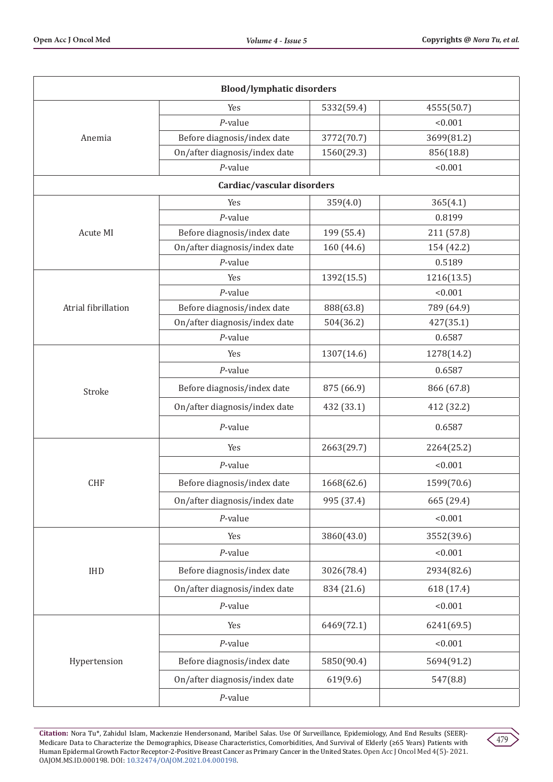| <b>Blood/lymphatic disorders</b> |                               |            |            |  |
|----------------------------------|-------------------------------|------------|------------|--|
|                                  | Yes                           | 5332(59.4) | 4555(50.7) |  |
|                                  | $P$ -value                    |            | < 0.001    |  |
| Anemia                           | Before diagnosis/index date   | 3772(70.7) | 3699(81.2) |  |
|                                  | On/after diagnosis/index date | 1560(29.3) | 856(18.8)  |  |
|                                  | $P$ -value                    |            | < 0.001    |  |
|                                  | Cardiac/vascular disorders    |            |            |  |
|                                  | Yes                           | 359(4.0)   | 365(4.1)   |  |
|                                  | $P$ -value                    |            | 0.8199     |  |
| Acute MI                         | Before diagnosis/index date   | 199 (55.4) | 211 (57.8) |  |
|                                  | On/after diagnosis/index date | 160 (44.6) | 154 (42.2) |  |
|                                  | $P$ -value                    |            | 0.5189     |  |
|                                  | Yes                           | 1392(15.5) | 1216(13.5) |  |
|                                  | $P$ -value                    |            | < 0.001    |  |
| Atrial fibrillation              | Before diagnosis/index date   | 888(63.8)  | 789 (64.9) |  |
|                                  | On/after diagnosis/index date | 504(36.2)  | 427(35.1)  |  |
|                                  | $P$ -value                    |            | 0.6587     |  |
|                                  | Yes                           | 1307(14.6) | 1278(14.2) |  |
|                                  | $P$ -value                    |            | 0.6587     |  |
| Stroke                           | Before diagnosis/index date   | 875 (66.9) | 866 (67.8) |  |
|                                  | On/after diagnosis/index date | 432 (33.1) | 412 (32.2) |  |
|                                  | $P$ -value                    |            | 0.6587     |  |
|                                  | Yes                           | 2663(29.7) | 2264(25.2) |  |
|                                  | $P$ -value                    |            | < 0.001    |  |
| <b>CHF</b>                       | Before diagnosis/index date   | 1668(62.6) | 1599(70.6) |  |
|                                  | On/after diagnosis/index date | 995 (37.4) | 665 (29.4) |  |
|                                  | $P$ -value                    |            | < 0.001    |  |
|                                  | Yes                           | 3860(43.0) | 3552(39.6) |  |
|                                  | $P$ -value                    |            | < 0.001    |  |
| <b>IHD</b>                       | Before diagnosis/index date   | 3026(78.4) | 2934(82.6) |  |
|                                  | On/after diagnosis/index date | 834 (21.6) | 618 (17.4) |  |
|                                  | $P$ -value                    |            | < 0.001    |  |
|                                  | Yes                           | 6469(72.1) | 6241(69.5) |  |
|                                  | $P$ -value                    |            | < 0.001    |  |
| Hypertension                     | Before diagnosis/index date   | 5850(90.4) | 5694(91.2) |  |
|                                  | On/after diagnosis/index date | 619(9.6)   | 547(8.8)   |  |
|                                  | $P$ -value                    |            |            |  |

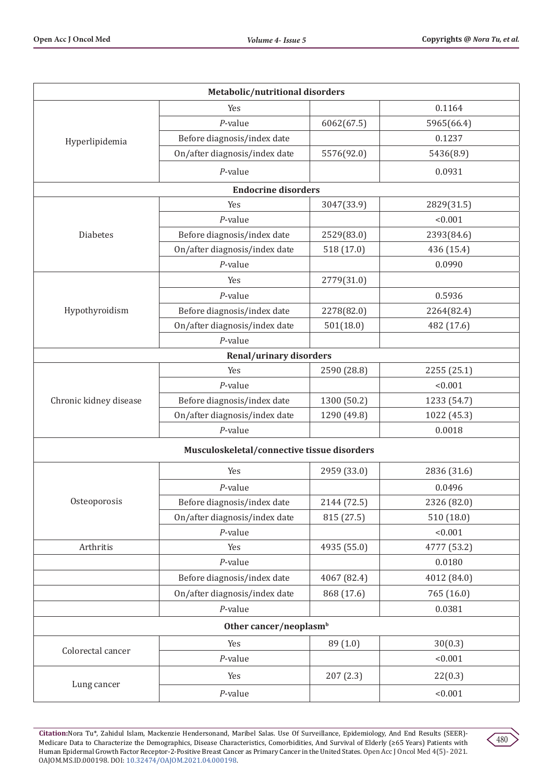| Metabolic/nutritional disorders |                                             |             |             |  |
|---------------------------------|---------------------------------------------|-------------|-------------|--|
|                                 | Yes                                         |             | 0.1164      |  |
|                                 | $P$ -value                                  | 6062(67.5)  | 5965(66.4)  |  |
| Hyperlipidemia                  | Before diagnosis/index date                 |             | 0.1237      |  |
|                                 | On/after diagnosis/index date               | 5576(92.0)  | 5436(8.9)   |  |
|                                 | $P$ -value                                  |             | 0.0931      |  |
|                                 | <b>Endocrine disorders</b>                  |             |             |  |
|                                 | Yes                                         | 3047(33.9)  | 2829(31.5)  |  |
|                                 | $P$ -value                                  |             | < 0.001     |  |
| Diabetes                        | Before diagnosis/index date                 | 2529(83.0)  | 2393(84.6)  |  |
|                                 | On/after diagnosis/index date               | 518 (17.0)  | 436 (15.4)  |  |
|                                 | $P$ -value                                  |             | 0.0990      |  |
|                                 | Yes                                         | 2779(31.0)  |             |  |
|                                 | $P$ -value                                  |             | 0.5936      |  |
| Hypothyroidism                  | Before diagnosis/index date                 | 2278(82.0)  | 2264(82.4)  |  |
|                                 | On/after diagnosis/index date               | 501(18.0)   | 482 (17.6)  |  |
|                                 | $P$ -value                                  |             |             |  |
|                                 | <b>Renal/urinary disorders</b>              |             |             |  |
|                                 | Yes                                         | 2590 (28.8) | 2255 (25.1) |  |
|                                 | $P$ -value                                  |             | < 0.001     |  |
| Chronic kidney disease          | Before diagnosis/index date                 | 1300 (50.2) | 1233 (54.7) |  |
|                                 | On/after diagnosis/index date               | 1290 (49.8) | 1022 (45.3) |  |
|                                 | $P$ -value                                  |             | 0.0018      |  |
|                                 | Musculoskeletal/connective tissue disorders |             |             |  |
|                                 | Yes                                         | 2959 (33.0) | 2836 (31.6) |  |
|                                 | $P$ -value                                  |             | 0.0496      |  |
| Osteoporosis                    | Before diagnosis/index date                 | 2144 (72.5) | 2326 (82.0) |  |
|                                 | On/after diagnosis/index date               | 815 (27.5)  | 510 (18.0)  |  |
|                                 | $P$ -value                                  |             | < 0.001     |  |
| Arthritis                       | Yes                                         | 4935 (55.0) | 4777 (53.2) |  |
|                                 | $P$ -value                                  |             | 0.0180      |  |
|                                 | Before diagnosis/index date                 | 4067 (82.4) | 4012 (84.0) |  |
|                                 | On/after diagnosis/index date               | 868 (17.6)  | 765 (16.0)  |  |
|                                 | $P$ -value                                  |             | 0.0381      |  |
|                                 | Other cancer/neoplasm <sup>b</sup>          |             |             |  |
| Colorectal cancer               | Yes                                         | 89 (1.0)    | 30(0.3)     |  |
|                                 | $P$ -value                                  |             | < 0.001     |  |
| Lung cancer                     | Yes                                         | 207(2.3)    | 22(0.3)     |  |
|                                 | $P$ -value                                  |             | < 0.001     |  |

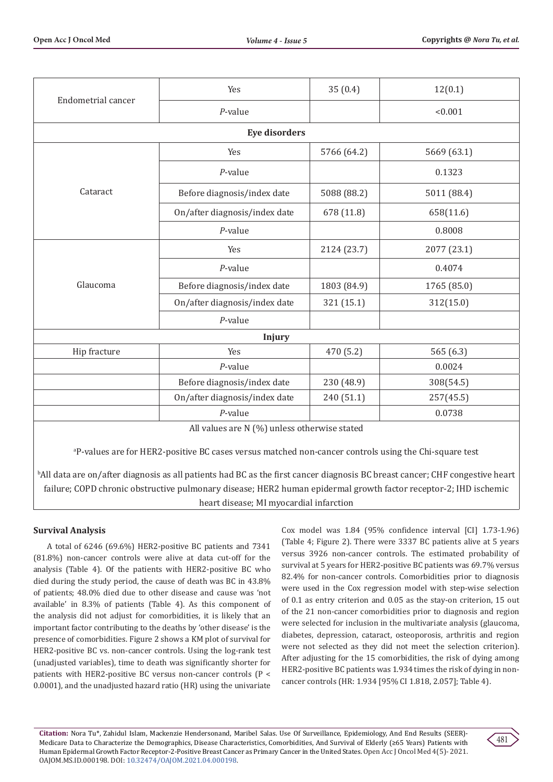| Endometrial cancer                                                                                                | Yes                                          | 35(0.4)     | 12(0.1)     |
|-------------------------------------------------------------------------------------------------------------------|----------------------------------------------|-------------|-------------|
|                                                                                                                   | $P$ -value                                   |             | < 0.001     |
|                                                                                                                   | <b>Eye disorders</b>                         |             |             |
|                                                                                                                   | Yes                                          | 5766 (64.2) | 5669 (63.1) |
|                                                                                                                   | $P$ -value                                   |             | 0.1323      |
| Cataract                                                                                                          | Before diagnosis/index date                  | 5088 (88.2) | 5011 (88.4) |
|                                                                                                                   | On/after diagnosis/index date                | 678 (11.8)  | 658(11.6)   |
|                                                                                                                   | $P$ -value                                   |             | 0.8008      |
| Glaucoma                                                                                                          | Yes                                          | 2124 (23.7) | 2077 (23.1) |
|                                                                                                                   | $P$ -value                                   |             | 0.4074      |
|                                                                                                                   | Before diagnosis/index date                  | 1803 (84.9) | 1765 (85.0) |
|                                                                                                                   | On/after diagnosis/index date                | 321 (15.1)  | 312(15.0)   |
|                                                                                                                   | $P$ -value                                   |             |             |
|                                                                                                                   | Injury                                       |             |             |
| Hip fracture                                                                                                      | Yes                                          | 470 (5.2)   | 565(6.3)    |
|                                                                                                                   | $P$ -value                                   |             | 0.0024      |
|                                                                                                                   | Before diagnosis/index date                  | 230 (48.9)  | 308(54.5)   |
|                                                                                                                   | On/after diagnosis/index date                | 240 (51.1)  | 257(45.5)   |
|                                                                                                                   | $P$ -value                                   |             | 0.0738      |
|                                                                                                                   | All values are N (%) unless otherwise stated |             |             |
| <sup>a</sup> P-values are for HER2-positive BC cases versus matched non-cancer controls using the Chi-square test |                                              |             |             |

b All data are on/after diagnosis as all patients had BC as the first cancer diagnosis BC breast cancer; CHF congestive heart failure; COPD chronic obstructive pulmonary disease; HER2 human epidermal growth factor receptor-2; IHD ischemic heart disease; MI myocardial infarction

# **Survival Analysis**

A total of 6246 (69.6%) HER2-positive BC patients and 7341 (81.8%) non-cancer controls were alive at data cut-off for the analysis (Table 4). Of the patients with HER2-positive BC who died during the study period, the cause of death was BC in 43.8% of patients; 48.0% died due to other disease and cause was 'not available' in 8.3% of patients (Table 4). As this component of the analysis did not adjust for comorbidities, it is likely that an important factor contributing to the deaths by 'other disease' is the presence of comorbidities. Figure 2 shows a KM plot of survival for HER2-positive BC vs. non-cancer controls. Using the log-rank test (unadjusted variables), time to death was significantly shorter for patients with HER2-positive BC versus non-cancer controls (P < 0.0001), and the unadjusted hazard ratio (HR) using the univariate

Cox model was 1.84 (95% confidence interval [CI] 1.73-1.96) (Table 4; Figure 2). There were 3337 BC patients alive at 5 years versus 3926 non-cancer controls. The estimated probability of survival at 5 years for HER2-positive BC patients was 69.7% versus 82.4% for non-cancer controls. Comorbidities prior to diagnosis were used in the Cox regression model with step-wise selection of 0.1 as entry criterion and 0.05 as the stay-on criterion, 15 out of the 21 non-cancer comorbidities prior to diagnosis and region were selected for inclusion in the multivariate analysis (glaucoma, diabetes, depression, cataract, osteoporosis, arthritis and region were not selected as they did not meet the selection criterion). After adjusting for the 15 comorbidities, the risk of dying among HER2-positive BC patients was 1.934 times the risk of dying in noncancer controls (HR: 1.934 [95% CI 1.818, 2.057]; Table 4).

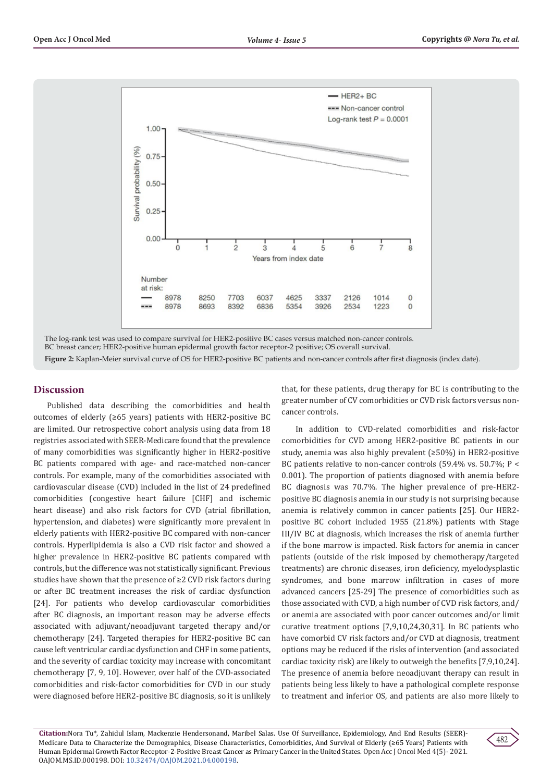

The log-rank test was used to compare survival for HER2-positive BC cases versus matched non-cancer controls. BC breast cancer; HER2-positive human epidermal growth factor receptor-2 positive; OS overall survival. **Figure 2:** Kaplan-Meier survival curve of OS for HER2-positive BC patients and non-cancer controls after first diagnosis (index date).

#### **Discussion**

Published data describing the comorbidities and health outcomes of elderly (≥65 years) patients with HER2-positive BC are limited. Our retrospective cohort analysis using data from 18 registries associated with SEER-Medicare found that the prevalence of many comorbidities was significantly higher in HER2-positive BC patients compared with age- and race-matched non-cancer controls. For example, many of the comorbidities associated with cardiovascular disease (CVD) included in the list of 24 predefined comorbidities (congestive heart failure [CHF] and ischemic heart disease) and also risk factors for CVD (atrial fibrillation, hypertension, and diabetes) were significantly more prevalent in elderly patients with HER2-positive BC compared with non-cancer controls. Hyperlipidemia is also a CVD risk factor and showed a higher prevalence in HER2-positive BC patients compared with controls, but the difference was not statistically significant. Previous studies have shown that the presence of ≥2 CVD risk factors during or after BC treatment increases the risk of cardiac dysfunction [24]. For patients who develop cardiovascular comorbidities after BC diagnosis, an important reason may be adverse effects associated with adjuvant/neoadjuvant targeted therapy and/or chemotherapy [24]. Targeted therapies for HER2-positive BC can cause left ventricular cardiac dysfunction and CHF in some patients, and the severity of cardiac toxicity may increase with concomitant chemotherapy [7, 9, 10]. However, over half of the CVD-associated comorbidities and risk-factor comorbidities for CVD in our study were diagnosed before HER2-positive BC diagnosis, so it is unlikely

that, for these patients, drug therapy for BC is contributing to the greater number of CV comorbidities or CVD risk factors versus noncancer controls.

In addition to CVD-related comorbidities and risk-factor comorbidities for CVD among HER2-positive BC patients in our study, anemia was also highly prevalent (≥50%) in HER2-positive BC patients relative to non-cancer controls (59.4% vs. 50.7%; P < 0.001). The proportion of patients diagnosed with anemia before BC diagnosis was 70.7%. The higher prevalence of pre-HER2 positive BC diagnosis anemia in our study is not surprising because anemia is relatively common in cancer patients [25]. Our HER2 positive BC cohort included 1955 (21.8%) patients with Stage III/IV BC at diagnosis, which increases the risk of anemia further if the bone marrow is impacted. Risk factors for anemia in cancer patients (outside of the risk imposed by chemotherapy/targeted treatments) are chronic diseases, iron deficiency, myelodysplastic syndromes, and bone marrow infiltration in cases of more advanced cancers [25-29] The presence of comorbidities such as those associated with CVD, a high number of CVD risk factors, and/ or anemia are associated with poor cancer outcomes and/or limit curative treatment options [7,9,10,24,30,31]. In BC patients who have comorbid CV risk factors and/or CVD at diagnosis, treatment options may be reduced if the risks of intervention (and associated cardiac toxicity risk) are likely to outweigh the benefits [7,9,10,24]. The presence of anemia before neoadjuvant therapy can result in patients being less likely to have a pathological complete response to treatment and inferior OS, and patients are also more likely to

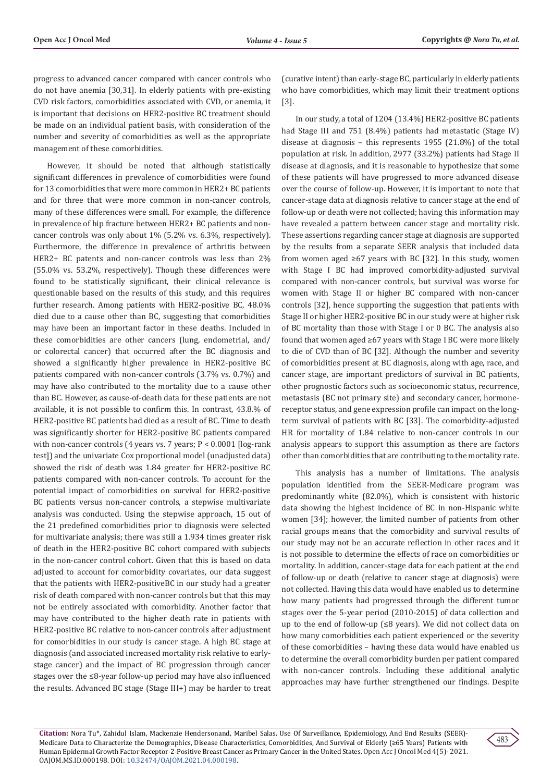progress to advanced cancer compared with cancer controls who do not have anemia [30,31]. In elderly patients with pre-existing CVD risk factors, comorbidities associated with CVD, or anemia, it is important that decisions on HER2-positive BC treatment should be made on an individual patient basis, with consideration of the number and severity of comorbidities as well as the appropriate management of these comorbidities.

However, it should be noted that although statistically significant differences in prevalence of comorbidities were found for 13 comorbidities that were more common in HER2+ BC patients and for three that were more common in non-cancer controls, many of these differences were small. For example, the difference in prevalence of hip fracture between HER2+ BC patients and noncancer controls was only about 1% (5.2% vs. 6.3%, respectively). Furthermore, the difference in prevalence of arthritis between HER2+ BC patents and non-cancer controls was less than 2% (55.0% vs. 53.2%, respectively). Though these differences were found to be statistically significant, their clinical relevance is questionable based on the results of this study, and this requires further research. Among patients with HER2-positive BC, 48.0% died due to a cause other than BC, suggesting that comorbidities may have been an important factor in these deaths. Included in these comorbidities are other cancers (lung, endometrial, and/ or colorectal cancer) that occurred after the BC diagnosis and showed a significantly higher prevalence in HER2-positive BC patients compared with non-cancer controls (3.7% vs. 0.7%) and may have also contributed to the mortality due to a cause other than BC. However, as cause-of-death data for these patients are not available, it is not possible to confirm this. In contrast, 43.8.% of HER2-positive BC patients had died as a result of BC. Time to death was significantly shorter for HER2-positive BC patients compared with non-cancer controls (4 years vs. 7 years; P < 0.0001 [log-rank test]) and the univariate Cox proportional model (unadjusted data) showed the risk of death was 1.84 greater for HER2-positive BC patients compared with non-cancer controls. To account for the potential impact of comorbidities on survival for HER2-positive BC patients versus non-cancer controls, a stepwise multivariate analysis was conducted. Using the stepwise approach, 15 out of the 21 predefined comorbidities prior to diagnosis were selected for multivariate analysis; there was still a 1.934 times greater risk of death in the HER2-positive BC cohort compared with subjects in the non-cancer control cohort. Given that this is based on data adjusted to account for comorbidity covariates, our data suggest that the patients with HER2-positiveBC in our study had a greater risk of death compared with non-cancer controls but that this may not be entirely associated with comorbidity. Another factor that may have contributed to the higher death rate in patients with HER2-positive BC relative to non-cancer controls after adjustment for comorbidities in our study is cancer stage. A high BC stage at diagnosis (and associated increased mortality risk relative to earlystage cancer) and the impact of BC progression through cancer stages over the ≤8-year follow-up period may have also influenced the results. Advanced BC stage (Stage III+) may be harder to treat

(curative intent) than early-stage BC, particularly in elderly patients who have comorbidities, which may limit their treatment options [3].

In our study, a total of 1204 (13.4%) HER2-positive BC patients had Stage III and 751 (8.4%) patients had metastatic (Stage IV) disease at diagnosis – this represents 1955 (21.8%) of the total population at risk. In addition, 2977 (33.2%) patients had Stage II disease at diagnosis, and it is reasonable to hypothesize that some of these patients will have progressed to more advanced disease over the course of follow-up. However, it is important to note that cancer-stage data at diagnosis relative to cancer stage at the end of follow-up or death were not collected; having this information may have revealed a pattern between cancer stage and mortality risk. These assertions regarding cancer stage at diagnosis are supported by the results from a separate SEER analysis that included data from women aged ≥67 years with BC [32]. In this study, women with Stage I BC had improved comorbidity-adjusted survival compared with non-cancer controls, but survival was worse for women with Stage II or higher BC compared with non-cancer controls [32], hence supporting the suggestion that patients with Stage II or higher HER2-positive BC in our study were at higher risk of BC mortality than those with Stage I or 0 BC. The analysis also found that women aged ≥67 years with Stage I BC were more likely to die of CVD than of BC [32]. Although the number and severity of comorbidities present at BC diagnosis, along with age, race, and cancer stage, are important predictors of survival in BC patients, other prognostic factors such as socioeconomic status, recurrence, metastasis (BC not primary site) and secondary cancer, hormonereceptor status, and gene expression profile can impact on the longterm survival of patients with BC [33]. The comorbidity-adjusted HR for mortality of 1.84 relative to non-cancer controls in our analysis appears to support this assumption as there are factors other than comorbidities that are contributing to the mortality rate.

This analysis has a number of limitations. The analysis population identified from the SEER-Medicare program was predominantly white (82.0%), which is consistent with historic data showing the highest incidence of BC in non-Hispanic white women [34]; however, the limited number of patients from other racial groups means that the comorbidity and survival results of our study may not be an accurate reflection in other races and it is not possible to determine the effects of race on comorbidities or mortality. In addition, cancer-stage data for each patient at the end of follow-up or death (relative to cancer stage at diagnosis) were not collected. Having this data would have enabled us to determine how many patients had progressed through the different tumor stages over the 5-year period (2010-2015) of data collection and up to the end of follow-up (≤8 years). We did not collect data on how many comorbidities each patient experienced or the severity of these comorbidities – having these data would have enabled us to determine the overall comorbidity burden per patient compared with non-cancer controls. Including these additional analytic approaches may have further strengthened our findings. Despite

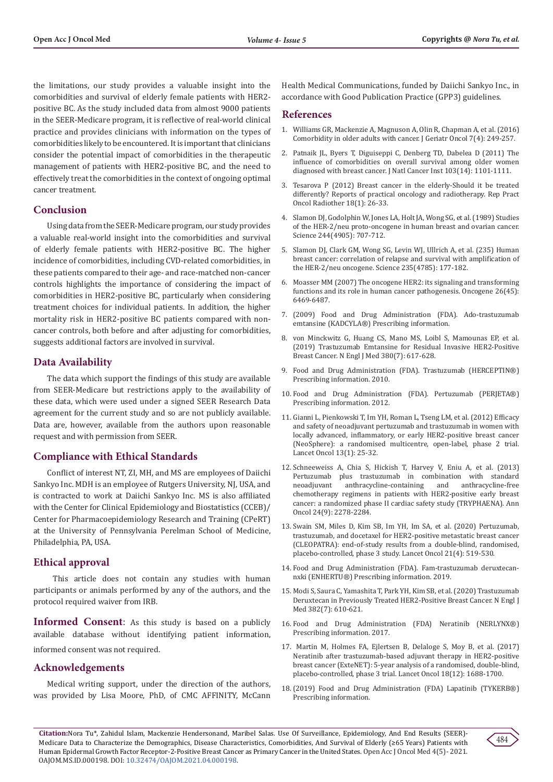the limitations, our study provides a valuable insight into the comorbidities and survival of elderly female patients with HER2 positive BC. As the study included data from almost 9000 patients in the SEER-Medicare program, it is reflective of real-world clinical practice and provides clinicians with information on the types of comorbidities likely to be encountered. It is important that clinicians consider the potential impact of comorbidities in the therapeutic management of patients with HER2-positive BC, and the need to effectively treat the comorbidities in the context of ongoing optimal cancer treatment.

## **Conclusion**

Using data from the SEER-Medicare program, our study provides a valuable real-world insight into the comorbidities and survival of elderly female patients with HER2-positive BC. The higher incidence of comorbidities, including CVD-related comorbidities, in these patients compared to their age- and race-matched non-cancer controls highlights the importance of considering the impact of comorbidities in HER2-positive BC, particularly when considering treatment choices for individual patients. In addition, the higher mortality risk in HER2-positive BC patients compared with noncancer controls, both before and after adjusting for comorbidities, suggests additional factors are involved in survival.

## **Data Availability**

The data which support the findings of this study are available from SEER-Medicare but restrictions apply to the availability of these data, which were used under a signed SEER Research Data agreement for the current study and so are not publicly available. Data are, however, available from the authors upon reasonable request and with permission from SEER.

#### **Compliance with Ethical Standards**

Conflict of interest NT, ZI, MH, and MS are employees of Daiichi Sankyo Inc. MDH is an employee of Rutgers University, NJ, USA, and is contracted to work at Daiichi Sankyo Inc. MS is also affiliated with the Center for Clinical Epidemiology and Biostatistics (CCEB)/ Center for Pharmacoepidemiology Research and Training (CPeRT) at the University of Pennsylvania Perelman School of Medicine, Philadelphia, PA, USA.

## **Ethical approval**

 This article does not contain any studies with human participants or animals performed by any of the authors, and the protocol required waiver from IRB.

**Informed Consent**: As this study is based on a publicly available database without identifying patient information, informed consent was not required.

## **Acknowledgements**

Medical writing support, under the direction of the authors, was provided by Lisa Moore, PhD, of CMC AFFINITY, McCann Health Medical Communications, funded by Daiichi Sankyo Inc., in accordance with Good Publication Practice (GPP3) guidelines.

#### **References**

- 1. [Williams GR, Mackenzie A, Magnuson A, Olin R, Chapman A, et al. \(2016\)](https://pubmed.ncbi.nlm.nih.gov/26725537/) [Comorbidity in older adults with cancer. J Geriatr Oncol 7\(4\): 249-257.](https://pubmed.ncbi.nlm.nih.gov/26725537/)
- 2. [Patnaik JL, Byers T, Diguiseppi C, Denberg TD, Dabelea D \(2011\) The](https://www.ncbi.nlm.nih.gov/pmc/articles/PMC3139585/) [influence of comorbidities on overall survival among older women](https://www.ncbi.nlm.nih.gov/pmc/articles/PMC3139585/) [diagnosed with breast cancer. J Natl Cancer Inst 103\(14\): 1101-1111.](https://www.ncbi.nlm.nih.gov/pmc/articles/PMC3139585/)
- 3. [Tesarova P \(2012\) Breast cancer in the elderly-Should it be treated](https://www.ncbi.nlm.nih.gov/pmc/articles/PMC3863252/) [differently? Reports of practical oncology and radiotherapy. Rep Pract](https://www.ncbi.nlm.nih.gov/pmc/articles/PMC3863252/) [Oncol Radiother 18\(1\): 26-33.](https://www.ncbi.nlm.nih.gov/pmc/articles/PMC3863252/)
- 4. [Slamon DJ, Godolphin W, Jones LA, Holt JA, Wong SG, et al. \(1989\) Studies](https://pubmed.ncbi.nlm.nih.gov/2470152/) [of the HER-2/neu proto-oncogene in human breast and ovarian cancer.](https://pubmed.ncbi.nlm.nih.gov/2470152/) [Science 244\(4905\): 707-712.](https://pubmed.ncbi.nlm.nih.gov/2470152/)
- 5. [Slamon DJ, Clark GM, Wong SG, Levin WJ, Ullrich A, et al. \(235\) Human](https://pubmed.ncbi.nlm.nih.gov/3798106/) [breast cancer: correlation of relapse and survival with amplification of](https://pubmed.ncbi.nlm.nih.gov/3798106/) [the HER-2/neu oncogene. Science 235\(4785\): 177-182.](https://pubmed.ncbi.nlm.nih.gov/3798106/)
- 6. [Moasser MM \(2007\) The oncogene HER2: its signaling and transforming](https://www.nature.com/articles/1210477) [functions and its role in human cancer pathogenesis. Oncogene 26\(45\):](https://www.nature.com/articles/1210477) [6469-6487.](https://www.nature.com/articles/1210477)
- 7. [\(2009\) Food and Drug Administration \(FDA\). Ado-trastuzumab](.https:/www.accessdata.fda.gov/drugsatfda_docs/label/2019/125427s105lbl.pdf) [emtansine \(KADCYLA®\) Prescribing information.](.https:/www.accessdata.fda.gov/drugsatfda_docs/label/2019/125427s105lbl.pdf)
- 8. [von Minckwitz G, Huang CS, Mano MS, Loibl S, Mamounas EP, et al.](https://www.nejm.org/doi/full/10.1056/nejmoa1814017) [\(2019\) Trastuzumab Emtansine for Residual Invasive HER2-Positive](https://www.nejm.org/doi/full/10.1056/nejmoa1814017) [Breast Cancer. N Engl J Med 380\(7\): 617-628.](https://www.nejm.org/doi/full/10.1056/nejmoa1814017)
- 9. [Food and Drug Administration \(FDA\). Trastuzumab \(HERCEPTIN®\)](https://www.accessdata.fda.gov/drugsatfda_docs/label/2010/103792s5250lbl.pdf) [Prescribing information. 2010.](https://www.accessdata.fda.gov/drugsatfda_docs/label/2010/103792s5250lbl.pdf)
- 10. [Food and Drug Administration \(FDA\). Pertuzumab \(PERJETA®\)](https://www.accessdata.fda.gov/drugsatfda_docs/label/2013/125409s051lbl.pdf.) [Prescribing information. 2012.](https://www.accessdata.fda.gov/drugsatfda_docs/label/2013/125409s051lbl.pdf.)
- 11. [Gianni L, Pienkowski T, Im YH, Roman L, Tseng LM, et al. \(2012\) Efficacy](https://pubmed.ncbi.nlm.nih.gov/22153890/) [and safety of neoadjuvant pertuzumab and trastuzumab in women with](https://pubmed.ncbi.nlm.nih.gov/22153890/) [locally advanced, inflammatory, or early HER2-positive breast cancer](https://pubmed.ncbi.nlm.nih.gov/22153890/) [\(NeoSphere\): a randomised multicentre, open-label, phase 2 trial.](https://pubmed.ncbi.nlm.nih.gov/22153890/) [Lancet Oncol 13\(1\): 25-32.](https://pubmed.ncbi.nlm.nih.gov/22153890/)
- 12. [Schneeweiss A, Chia S, Hickish T, Harvey V, Eniu A, et al. \(2013\)](https://pubmed.ncbi.nlm.nih.gov/23704196/) [Pertuzumab plus trastuzumab in combination with standard](https://pubmed.ncbi.nlm.nih.gov/23704196/) anthracycline-free [chemotherapy regimens in patients with HER2-positive early breast](https://pubmed.ncbi.nlm.nih.gov/23704196/) [cancer: a randomized phase II cardiac safety study \(TRYPHAENA\). Ann](https://pubmed.ncbi.nlm.nih.gov/23704196/) [Oncol 24\(9\): 2278-2284.](https://pubmed.ncbi.nlm.nih.gov/23704196/)
- 13. [Swain SM, Miles D, Kim SB, Im YH, Im SA, et al. \(2020\) Pertuzumab,](https://pubmed.ncbi.nlm.nih.gov/32171426/) [trastuzumab, and docetaxel for HER2-positive metastatic breast cancer](https://pubmed.ncbi.nlm.nih.gov/32171426/) [\(CLEOPATRA\): end-of-study results from a double-blind, randomised,](https://pubmed.ncbi.nlm.nih.gov/32171426/) [placebo-controlled, phase 3 study. Lancet Oncol 21\(4\): 519-530.](https://pubmed.ncbi.nlm.nih.gov/32171426/)
- 14. [Food and Drug Administration \(FDA\). Fam-trastuzumab deruxtecan](https://www.accessdata.fda.gov/drugsatfda_docs/label/2019/761139s000lbl.pdf.)[nxki \(ENHERTU®\) Prescribing information. 2019.](https://www.accessdata.fda.gov/drugsatfda_docs/label/2019/761139s000lbl.pdf.)
- 15. [Modi S, Saura C, Yamashita T, Park YH, Kim SB, et al. \(2020\) Trastuzumab](https://www.nejm.org/doi/full/10.1056/nejmoa1914510) [Deruxtecan in Previously Treated HER2-Positive Breast Cancer. N Engl J](https://www.nejm.org/doi/full/10.1056/nejmoa1914510) [Med 382\(7\): 610-621.](https://www.nejm.org/doi/full/10.1056/nejmoa1914510)
- 16. [Food and Drug Administration \(FDA\) Neratinib \(NERLYNX®\)](https://www.accessdata.fda.gov/drugsatfda_docs/label/2017/208051s000lbl.pdf.) [Prescribing information. 2017.](https://www.accessdata.fda.gov/drugsatfda_docs/label/2017/208051s000lbl.pdf.)
- 17. [Martin M, Holmes FA, Ejlertsen B, Delaloge S, Moy B, et al. \(2017\)](https://pubmed.ncbi.nlm.nih.gov/29146401/) [Neratinib after trastuzumab-based adjuvant therapy in HER2-positive](https://pubmed.ncbi.nlm.nih.gov/29146401/) [breast cancer \(ExteNET\): 5-year analysis of a randomised, double-blind,](https://pubmed.ncbi.nlm.nih.gov/29146401/) [placebo-controlled, phase 3 trial. Lancet Oncol 18\(12\): 1688-1700.](https://pubmed.ncbi.nlm.nih.gov/29146401/)
- 18.[\(2019\) Food and Drug Administration \(FDA\) Lapatinib \(TYKERB®\)](file:///C:/Users/Admin/Desktop/PDFS/19-08-2021/OAJOM.MS.ID.000198/OAJOM-21-RA-222_W/OAJOM-21-RA-222_W/1.%09https:/www.accessdata.fda.gov/drugsatfda_docs/label/2018/022059s023lbl.pdf.) [Prescribing information.](file:///C:/Users/Admin/Desktop/PDFS/19-08-2021/OAJOM.MS.ID.000198/OAJOM-21-RA-222_W/OAJOM-21-RA-222_W/1.%09https:/www.accessdata.fda.gov/drugsatfda_docs/label/2018/022059s023lbl.pdf.)